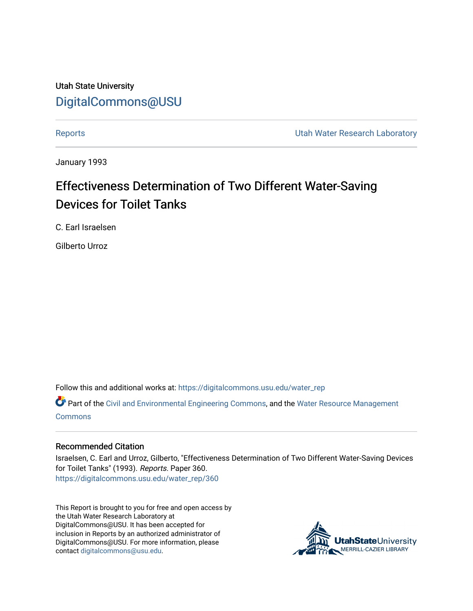Utah State University [DigitalCommons@USU](https://digitalcommons.usu.edu/)

[Reports](https://digitalcommons.usu.edu/water_rep) **Exercise Exercise Exercise Exercise Contract Contract Contract Contract Contract Contract Contract Contract Contract Contract Contract Contract Contract Contract Contract Contract Contract Contract Contract Contra** 

January 1993

# Effectiveness Determination of Two Different Water-Saving Devices for Toilet Tanks

C. Earl Israelsen

Gilberto Urroz

Follow this and additional works at: [https://digitalcommons.usu.edu/water\\_rep](https://digitalcommons.usu.edu/water_rep?utm_source=digitalcommons.usu.edu%2Fwater_rep%2F360&utm_medium=PDF&utm_campaign=PDFCoverPages) 

Part of the [Civil and Environmental Engineering Commons](http://network.bepress.com/hgg/discipline/251?utm_source=digitalcommons.usu.edu%2Fwater_rep%2F360&utm_medium=PDF&utm_campaign=PDFCoverPages), and the [Water Resource Management](http://network.bepress.com/hgg/discipline/1057?utm_source=digitalcommons.usu.edu%2Fwater_rep%2F360&utm_medium=PDF&utm_campaign=PDFCoverPages) **[Commons](http://network.bepress.com/hgg/discipline/1057?utm_source=digitalcommons.usu.edu%2Fwater_rep%2F360&utm_medium=PDF&utm_campaign=PDFCoverPages)** 

#### Recommended Citation

Israelsen, C. Earl and Urroz, Gilberto, "Effectiveness Determination of Two Different Water-Saving Devices for Toilet Tanks" (1993). Reports. Paper 360. [https://digitalcommons.usu.edu/water\\_rep/360](https://digitalcommons.usu.edu/water_rep/360?utm_source=digitalcommons.usu.edu%2Fwater_rep%2F360&utm_medium=PDF&utm_campaign=PDFCoverPages)

This Report is brought to you for free and open access by the Utah Water Research Laboratory at DigitalCommons@USU. It has been accepted for inclusion in Reports by an authorized administrator of DigitalCommons@USU. For more information, please contact [digitalcommons@usu.edu](mailto:digitalcommons@usu.edu).

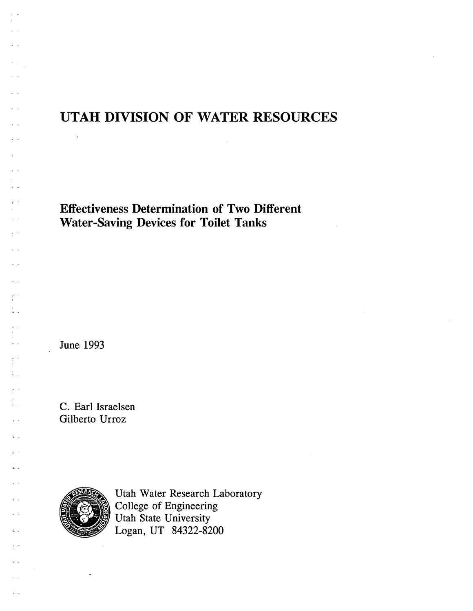# **UTAH DIVISION OF WATER RESOURCES**

**Effectiveness Determination of Two Different Water-Saving Devices for Toilet Tanks** 

June 1993

 $\bar{\rm{a}}$ 

.- - ,

ti<br>Ali

 $\mathsf{L}$ 

 $\mathbf{g}^{\dagger}$ 

 $\mathbf{k}$  . e e

 $L_{\perp}$ 

 $\mathcal{L}_{\rm{max}}$ 

÷.

C. Earl Israelsen Gilberto Urroz



Utah Water Research Laboratory College of Engineering Utah State University Logan, UT 84322-8200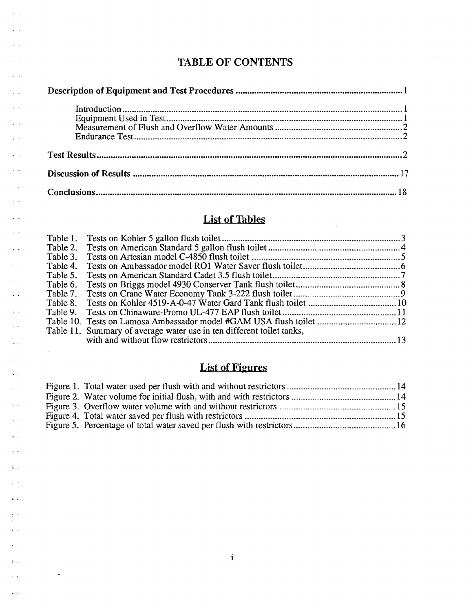## TABLE OF CONTENTS

 $\bar{\omega}$ 

 $\bar{\mathcal{L}}$ 

 $\tau \rightarrow$ 

 $\bar{\mathcal{L}}$  $\sim$   $\sim$ 

 $\sim$   $\sim$ 

 $\lambda$  .  $\lambda$ 

 $\ddot{\phantom{1}}$  .  $\bar{r}$  .  $\bar{r}$ 

 $\epsilon$  .  $\epsilon$  .  $\eta$ 

 $\sim$   $\sim$  $\tau$  .  $\sim$  $\sim$  $\zeta\rightarrow$ 

 $\frac{1}{\sqrt{2}}$  .

 $\zeta^{\pm}$  is  $\mathbf{r}$ 

 $\sqrt{2}$  $\epsilon$  .

Ļ.  $\frac{1}{r}$  .

t.<br>Alia

 $\frac{1}{2}$  .  $\tilde{\mathbf{r}}$  is

 $\sigma^{\pm\pm}$  $\hat{\mathbf{k}}$  .  $\omega$  $\mathbb{R}^{\mathbb{Z}}$  .

 $\hat{\mathbf{h}}$  .  $\frac{1}{2}$  .  $\frac{1}{2}$  $\tilde{\mathbb{L}}$  .

 $\tilde{\epsilon}$  .

 $\bar{\mathbf{k}}$  .  $\bar{\mathbf{z}}$ 

 $\frac{1}{2}$  .  $\frac{1}{2}$ 

 $\hat{k}$   $\sim$  $\varphi$  .

 $\zeta_{\rm c}$  is  $\frac{1}{\epsilon}$  .

i.

 $\ddot{\phantom{a}}$ 

 $\hat{\mathcal{A}}$ 

## **List of Tables**

 $\sim 10^4$ 

| Table 1. |                                                                       |  |
|----------|-----------------------------------------------------------------------|--|
| Table 2. |                                                                       |  |
| Table 3. |                                                                       |  |
| Table 4. |                                                                       |  |
| Table 5. |                                                                       |  |
| Table 6. |                                                                       |  |
|          |                                                                       |  |
|          |                                                                       |  |
|          |                                                                       |  |
|          | Table 10. Tests on Lamosa Ambassador model #GAM USA flush toilet  12  |  |
|          | Table 11. Summary of average water use in ten different toilet tanks, |  |
|          |                                                                       |  |

# List of Figures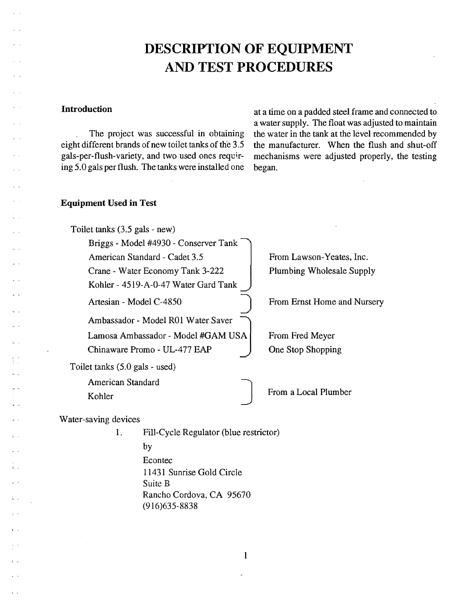# DESCRIPTION OF EQUIPMENT AND TEST PROCEDURES

#### Introduction

 $\mathbb{L}$ 

l \_

The project was successful in obtaining eight different brands of new toilet tanks of the 3.5 gals-per-flush-variety, and two used ones requiring 5.0 gals per flush. The tanks were installed one at a time on a padded steel frame and connected to a water supply. The float was adjusted to maintain the water in the tank at the level recommended by the manufacturer. When the flush and shut-off mechanisms were adjusted properly, the testing began.

#### Equipment Used in Test

Toilet tanks (3.5 gals - new) Briggs - Model #4930 - Conserver Tank American Standard - Cadet 3.5 Crane - Water Economy Tank 3-222 Kohler - 4519-A-0-47 Water Gard Tank Artesian - Model C-4850 Ambassador - Model ROI Water Saver ~ Lamosa Ambassador - Model #GAM USA Chinaware Promo - UL-477 EAP Toilet tanks (5.0 gals - used) From Lawson-Yeates, Inc. Plumbing Wholesale Supply From Ernst Home and Nursery From Fred Meyer One Stop Shopping American Standard Kohler **Internal From a Local Plumber** Water-saving devices 1. Fill-Cycle Regulator (blue restrictor) by

Econtec 11431 Sunrise Gold Circle Suite B Rancho Cordova, CA 95670 (916)635-8838

1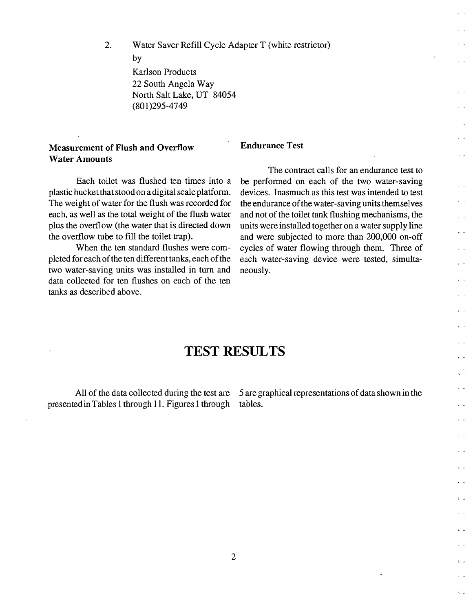2. Water Saver Refill Cycle Adapter T (white restrictor) by Karlson Products

22 South Angela Way North Salt Lake, UT 84054 (801)295-4749

#### Measurement of Flush and Overflow Water Amounts

Each toilet was flushed ten times into a plastic bucket that stood on a digital scale platform. The weight of water for the flush was recorded for each, as well as the total weight of the flush water plus the overflow (the water that is directed down the overflow tube to fill the toilet trap).

When the ten standard flushes were completed for each of the ten different tanks, each of the two water-saving units was installed in turn and data collected for ten flushes on each of the ten tanks as described above.

# Endurance Test

The contract calls for an endurance test to be performed on each of the two water-saving devices. Inasmuch as this test was intended to test the endurance of the water-saving units themselves and not of the toilet tank flushing mechanisms, the units were installed together on a water supply line and were subjected to more than 200,000 on-off cycles of water flowing through them. Three of each water-saving device were tested, simultaneously.

 $\sim$   $\sim$ 

i.

i. a

## **TEST RESULTS**

presented in Tables 1 through 11. Figures 1 through tables.

All of the data collected during the test are 5 are graphical representations of data shown in the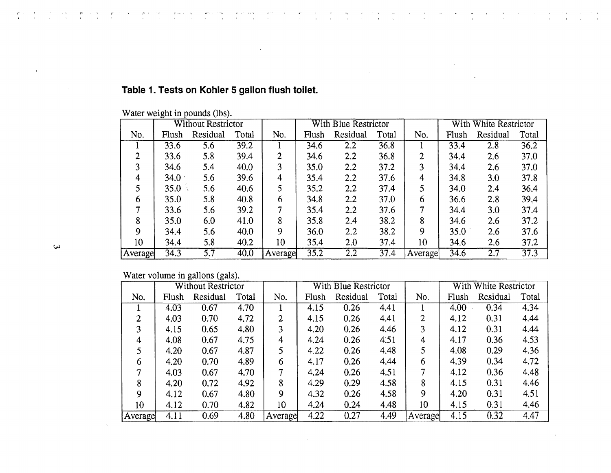|    |                 | <b>Without Restrictor</b> |          |       |         | With Blue Restrictor |          |       |         |       | With White Restrictor |       |  |
|----|-----------------|---------------------------|----------|-------|---------|----------------------|----------|-------|---------|-------|-----------------------|-------|--|
|    | No.             | Flush                     | Residual | Total | No.     | Flush                | Residual | Total | No.     | Flush | Residual              | Total |  |
|    |                 | 33.6                      | 5.6      | 39.2  |         | 34.6                 | 2.2      | 36.8  |         | 33.4  | 2.8                   | 36.2  |  |
|    | 2               | 33.6                      | 5.8      | 39.4  | 2       | 34.6                 | $2.2\,$  | 36.8  | 2       | 34.4  | 2.6                   | 37.0  |  |
|    | 3               | 34.6                      | 5.4      | 40.0  | 3       | 35.0                 | 2.2      | 37.2  | 3       | 34.4  | 2.6                   | 37.0  |  |
|    | 4               | 34.0                      | 5.6      | 39.6  | 4       | 35.4                 | 2.2      | 37.6  | 4       | 34.8  | 3.0                   | 37.8  |  |
|    | 5               | 35.0                      | 5.6      | 40.6  |         | 35.2                 | 2.2      | 37.4  | 5       | 34.0  | 2.4                   | 36.4  |  |
|    | b               | 35.0                      | 5.8      | 40.8  | 6       | 34.8                 | 2.2      | 37.0  | 6       | 36.6  | 2.8                   | 39.4  |  |
|    |                 | 33.6                      | 5.6      | 39.2  | 7       | 35.4                 | 2.2      | 37.6  |         | 34.4  | 3.0                   | 37.4  |  |
|    | 8               | 35.0                      | 6.0      | 41.0  | 8       | 35.8                 | 2.4      | 38.2  | 8       | 34.6  | 2.6                   | 37.2  |  |
|    | 9               | 34.4                      | 5.6      | 40.0  | 9       | 36.0                 | 2.2      | 38.2  | 9.      | 35.0  | 2.6                   | 37.6  |  |
| دى | 10 <sup>°</sup> | 34.4                      | 5.8      | 40.2  | 10      | 35.4                 | 2.0      | 37.4  | 10      | 34.6  | 2.6                   | 37.2  |  |
|    | Average         | 34.3                      | 5.7      | 40.0  | Average | 35.2                 | $2.2\,$  | 37.4  | Average | 34.6  | 2.7                   | 37.3  |  |

 $\mathbb{R}^2$ 

## **Table 1. Tests on Kohler 5 gallon flush toilet.**

 $\sim \omega_{\rm m}$ 

and the

 $\mathbf{r}$  ,  $\mathbf{r}$  ,  $\mathcal{L}$ 

 $\bar{\Delta}$ 

Water weight in pounds (lbs).

 $\sigma \sim \sigma$ 

Water volume in gallons (gals).

|                 |       | <b>Without Restrictor</b> |       |         |       | With Blue Restrictor |       |         |       | With White Restrictor |       |
|-----------------|-------|---------------------------|-------|---------|-------|----------------------|-------|---------|-------|-----------------------|-------|
| No.             | Flush | Residual                  | Total | No.     | Flush | Residual             | Total | No.     | Flush | Residual              | Total |
|                 | 4.03  | 0.67                      | 4.70  |         | 4.15  | 0.26                 | 4.41  |         | 4.00  | 0.34                  | 4.34  |
| 2               | 4.03  | 0.70                      | 4.72  | 2       | 4.15  | 0.26                 | 4.41  |         | 4.12  | 0.31                  | 4.44  |
| 3               | 4.15  | 0.65                      | 4.80  | 3       | 4.20  | 0.26                 | 4.46  | 3       | 4.12  | 0.31                  | 4.44  |
| 4               | 4.08  | 0.67                      | 4.75  | 4       | 4.24  | 0.26                 | 4.51  | 4       | 4.17  | 0.36                  | 4.53  |
|                 | 4.20  | 0.67                      | 4.87  |         | 4.22  | 0.26                 | 4.48  | 5       | 4.08  | 0.29                  | 4.36  |
| 6               | 4.20  | 0.70                      | 4.89  | 6       | 4.17  | 0.26                 | 4.44  | 6       | 4.39  | 0.34                  | 4.72  |
| ⇁               | 4.03  | 0.67                      | 4.70  | 7       | 4.24  | 0.26                 | 4.51  |         | 4.12  | 0.36                  | 4.48  |
| 8               | 4.20  | 0.72                      | 4.92  | 8       | 4.29  | 0.29                 | 4.58  | 8       | 4.15  | 0.31                  | 4.46  |
| 9               | 4.12  | 0.67                      | 4.80  | 9       | 4.32  | 0.26                 | 4.58  | 9       | 4.20  | 0.31                  | 4.51  |
| 10 <sup>°</sup> | 4.12  | 0.70                      | 4.82  | 10      | 4.24  | 0.24                 | 4.48  | 10      | 4.15  | 0.31                  | 4.46  |
| Average         | 4.11  | 0.69                      | 4.80  | Average | 4.22  | 0.27                 | 4.49  | Average | 4.15  | 0.32                  | 4.47  |

 $\sim 10^{-1}$ 

 $\label{eq:2} \frac{1}{\sqrt{2}}\left(\frac{1}{\sqrt{2}}\right)^{2}$ 

 $\epsilon$ 

 $\sim$   $\sim$ 

 $\mathcal{P}^{(n+1)}$  .  $\mathcal{Y}$ 

 $p(\alpha) \to \alpha$  .

 $\sim 20$  $\sim$  e  $^{\prime\prime}$ 

 $\Delta$ 

r.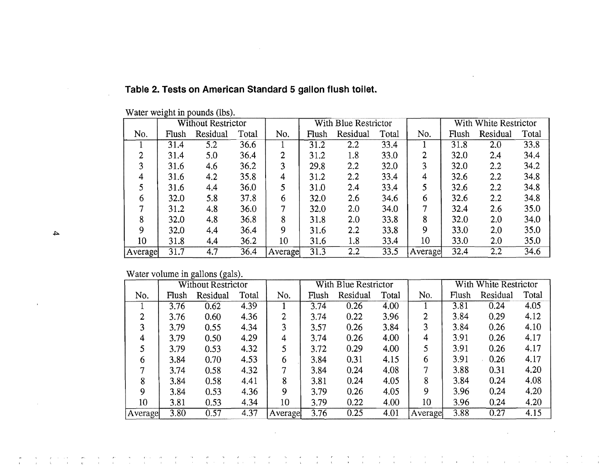|   |         | Without Restrictor |          |       |         | With Blue Restrictor |          |       | With White Restrictor |       |          |       |
|---|---------|--------------------|----------|-------|---------|----------------------|----------|-------|-----------------------|-------|----------|-------|
|   | No.     | Flush              | Residual | Total | No.     | Flush                | Residual | Total | No.                   | Flush | Residual | Total |
|   |         | 31.4               | 5.2      | 36.6  |         | 31.2                 | 2.2      | 33.4  |                       | 31.8  | 2.0      | 33.8  |
|   | ◠       | 31.4               | 5.0      | 36.4  | 2       | 31.2                 | 1.8      | 33.0  | $\overline{2}$        | 32.0  | 2.4      | 34.4  |
|   | 3       | 31.6               | 4.6      | 36.2  | 3       | 29.8                 | 2.2      | 32.0  | 3                     | 32.0  | 2.2      | 34.2  |
|   | 4       | 31.6               | 4.2      | 35.8  | 4       | 31.2                 | 2.2      | 33.4  | 4                     | 32.6  | 2.2      | 34.8  |
|   |         | 31.6               | 4.4      | 36.0  | 5       | 31.0                 | 2.4      | 33.4  | 5                     | 32.6  | 2.2      | 34.8  |
|   | b       | 32.0               | 5.8      | 37.8  | 6       | 32.0                 | 2.6      | 34.6  | 6                     | 32.6  | 2.2      | 34.8  |
|   |         | 31.2               | 4.8      | 36.0  | $\tau$  | 32.0                 | $2.0\,$  | 34.0  | 7                     | 32.4  | 2.6      | 35.0  |
|   | 8       | 32.0               | 4.8      | 36.8  | 8       | 31.8                 | 2.0      | 33.8  | 8                     | 32.0  | 2.0      | 34.0  |
| 4 | 9       | 32.0               | 4.4      | 36.4  | 9       | 31.6                 | $2.2\,$  | 33.8  | 9                     | 33.0  | 2.0      | 35.0  |
|   | 10      | 31.8               | 4.4      | 36.2  | 10      | 31.6                 | 1.8      | 33.4  | 10                    | 33.0  | 2.0      | 35.0  |
|   | Average | 31.7               | 4.7      | 36.4  | Average | 31.3                 | 2.2      | 33.5  | Average               | 32.4  | 2.2      | 34.6  |

 $\ddot{\phantom{a}}$ 

 $\mathcal{L}$ 

 $\label{eq:2} \frac{1}{\sqrt{2}}\left(\frac{1}{\sqrt{2}}\right)^{2}=\frac{1}{2}\left(\frac{1}{2}\right)^{2}$ 

 $\label{eq:2.1} \begin{split} \mathcal{D}_{\mathcal{A}}(\mathcal{A}) & = \mathcal{D}_{\mathcal{A}}(\mathcal{A}) \mathcal{A}(\mathcal{A}) \mathcal{A}(\mathcal{A}) \\ & = \mathcal{D}_{\mathcal{A}}(\mathcal{A}) \mathcal{A}(\mathcal{A}) \mathcal{A}(\mathcal{A}) \mathcal{A}(\mathcal{A}) \mathcal{A}(\mathcal{A}) \mathcal{A}(\mathcal{A}) \mathcal{A}(\mathcal{A}) \mathcal{A}(\mathcal{A}) \mathcal{A}(\mathcal{A}) \mathcal{A}(\mathcal{A}) \mathcal{A}(\mathcal{A}) \mathcal$ 

 $\label{eq:2.1} \begin{array}{c} \mathcal{O}(\mathbb{R}^3) \times \mathbb{R}^3 \times \mathbb{R}^3 \\ \mathcal{O}(\mathbb{R}^3) \times \mathbb{R}^3 \times \mathbb{R}^3 \times \mathbb{R}^3 \end{array}$ 

 $\frac{1}{2} \frac{1}{2} \frac{1}{2} \frac{1}{2}$ 

 $\sim$   $\sim$ 

## **Table 2. Tests on American Standard 5 gallon flush toilet.**

 $\sim$ 

Water weight in pounds (lbs).

## Water volume in gallons (gals).

|         |       | Without Restrictor |       |                |       | With Blue Restrictor |       |         |       | With White Restrictor |       |
|---------|-------|--------------------|-------|----------------|-------|----------------------|-------|---------|-------|-----------------------|-------|
| No.     | Flush | Residual           | Total | No.            | Flush | Residual             | Total | No.     | Flush | Residual              | Total |
|         | 3.76  | 0.62               | 4.39  |                | 3.74  | 0.26                 | 4.00  |         | 3.81  | 0.24                  | 4.05  |
| 2       | 3.76  | 0.60               | 4.36  | $\overline{2}$ | 3.74  | 0.22                 | 3.96  |         | 3.84  | 0.29                  | 4.12  |
| 3       | 3.79  | 0.55               | 4.34  | 3              | 3.57  | 0.26                 | 3.84  |         | 3.84  | 0.26                  | 4.10  |
| 4       | 3.79  | 0.50               | 4.29  | 4              | 3.74  | 0.26                 | 4.00  | 4       | 3.91  | 0.26                  | 4.17  |
|         | 3.79  | 0.53               | 4.32  |                | 3.72  | 0.29                 | 4.00  | 5       | 3.91  | 0.26                  | 4.17  |
| 6       | 3.84  | 0.70               | 4.53  | 6              | 3.84  | 0.31                 | 4.15  | 6       | 3.91  | 0.26                  | 4.17  |
| 7       | 3.74  | 0.58               | 4.32  | 7              | 3.84  | 0.24                 | 4.08  | 7       | 3.88  | 0.31                  | 4.20  |
| 8       | 3.84  | 0.58               | 4.41  | 8              | 3.81  | 0.24                 | 4.05  | 8       | 3.84  | 0.24                  | 4.08  |
| 9       | 3.84  | 0.53               | 4.36  | 9              | 3.79  | 0.26                 | 4.05  | 9       | 3.96  | 0.24                  | 4.20  |
| 10      | 3.81  | 0.53               | 4.34  | 10             | 3.79  | 0.22                 | 4.00  | 10      | 3.96  | 0.24                  | 4.20  |
| Average | 3.80  | 0.57               | 4.37  | Average        | 3.76  | 0.25                 | 4.01  | Average | 3.88  | 0.27                  | 4.15  |

 $\mathcal{L}$ 

 $\frac{m}{1}$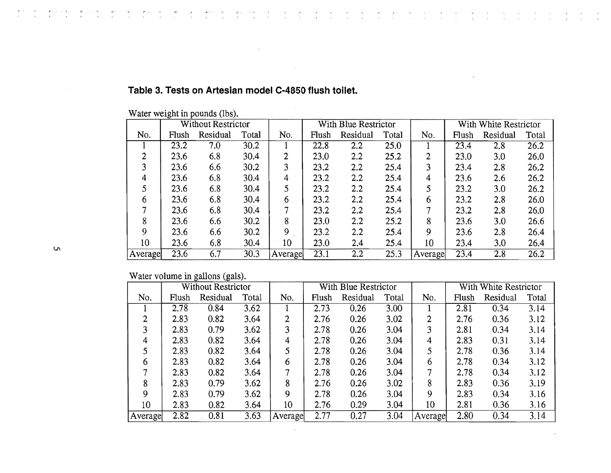|         |       | Without Restrictor |       |         | With Blue Restrictor |          |       |         |       | With White Restrictor |       |
|---------|-------|--------------------|-------|---------|----------------------|----------|-------|---------|-------|-----------------------|-------|
| No.     | Flush | Residual           | Total | No.     | Flush                | Residual | Total | No.     | Flush | Residual              | Total |
|         | 23.2  | 7.0                | 30.2  |         | 22.8                 | 2.2      | 25.0  |         | 23.4  | 2.8                   | 26.2  |
| 2       | 23.6  | 6.8                | 30.4  | 2       | 23.0                 | 2.2      | 25.2  | 2       | 23.0  | 3.0                   | 26.0  |
| 3       | 23.6  | 6.6                | 30.2  | 3       | 23.2                 | 2.2      | 25.4  | 3       | 23.4  | 2.8                   | 26.2  |
| 4       | 23.6  | 6.8                | 30.4  | 4       | 23.2                 | 2.2      | 25.4  | 4       | 23.6  | 2.6                   | 26.2  |
|         | 23.6  | 6.8                | 30.4  | 5       | 23.2                 | 2.2      | 25.4  |         | 23.2  | 3.0                   | 26.2  |
| 6       | 23.6  | 6.8                | 30.4  | 6       | 23.2                 | 2.2      | 25.4  | 6       | 23.2  | 2.8                   | 26.0  |
|         | 23.6  | 6.8                | 30.4  |         | 23.2                 | 2.2      | 25.4  |         | 23.2  | 2.8                   | 26.0  |
| 8       | 23.6  | 6.6                | 30.2  | 8       | 23.0                 | 2.2      | 25.2  | 8       | 23.6  | 3.0                   | 26.6  |
| 9       | 23.6  | 6.6                | 30.2  | 9       | 23.2                 | 2.2      | 25.4  | 9       | 23.6  | 2.8                   | 26.4  |
| 10      | 23.6  | 6.8                | 30.4  | 10      | 23.0                 | 2.4      | 25.4  | 10      | 23.4  | 3.0                   | 26.4  |
| Average | 23.6  | 6.7                | 30.3  | Average | 23.1                 | 2.2      | 25.3  | Average | 23.4  | 2.8                   | 26.2  |

 $\frac{1}{\sqrt{2}}$  $\frac{1}{2}$   $\sigma_{\rm c}$  $\overline{r}$   $\frac{1}{\sqrt{2}}$  $\sim$   $\frac{1}{\sqrt{2}}$  $\alpha$   $\hat{\theta}$ 

 $\frac{1}{2}$ 

 $\Delta \sim$ 

 $\alpha$  $\sim 10^7$   $\frac{1}{4}$ 

#### **Table 3. Tests on Artesian model C-4850 flush toilet.**

 $\bar{\mathcal{A}}$ 

 $\sim$ 

Water weight in pounds (lbs).

r man en provincia para la provincia del provincia del manuscrito del control del control del control del cont<br>La provincia del control del control del control del control del control del control del control del control d

Water volume in gallons (gals).

|         |       | Without Restrictor |       |         | With Blue Restrictor |          |       |         |       | With White Restrictor |       |
|---------|-------|--------------------|-------|---------|----------------------|----------|-------|---------|-------|-----------------------|-------|
| No.     | Flush | Residual           | Total | No.     | Flush                | Residual | Total | No.     | Flush | Residual              | Total |
|         | 2.78  | 0.84               | 3.62  |         | 2.73                 | 0.26     | 3.00  |         | 2.81  | 0.34                  | 3.14  |
| າ       | 2.83  | 0.82               | 3.64  | 2       | 2.76                 | 0.26     | 3.02  | 2       | 2.76  | 0.36                  | 3.12  |
| ◠       | 2.83  | 0.79               | 3.62  | 3       | 2.78                 | 0.26     | 3.04  | 3       | 2.81  | 0.34                  | 3.14  |
| 4       | 2.83  | 0.82               | 3.64  | 4       | 2.78                 | 0.26     | 3.04  | 4       | 2.83  | 0.31                  | 3.14  |
|         | 2.83  | 0.82               | 3.64  | 5       | 2.78                 | 0.26     | 3.04  | 5       | 2.78  | 0.36                  | 3.14  |
| 6       | 2.83  | 0.82               | 3.64  | 6       | 2.78                 | 0.26     | 3.04  | 6       | 2.78  | 0.34                  | 3.12  |
|         | 2.83  | 0.82               | 3.64  |         | 2.78                 | 0.26     | 3.04  |         | 2.78  | 0.34                  | 3.12  |
| 8       | 2.83  | 0.79               | 3.62  | 8       | 2.76                 | 0.26     | 3.02  | 8       | 2.83  | 0.36                  | 3.19  |
| 9       | 2.83  | 0.79               | 3.62  | 9       | 2.78                 | 0.26     | 3.04  | 9       | 2.83  | 0.34                  | 3.16  |
| 10      | 2.83  | 0.82               | 3.64  | 10      | 2.76                 | 0.29     | 3.04  | 10      | 2.81  | 0.36                  | 3.16  |
| Average | 2.82  | 0.81               | 3.63  | Average | 2.77                 | 0.27     | 3.04  | Average | 2.80  | 0.34                  | 3.14  |

 $\sim 10^{11}$  km  $^{-1}$ 

 $\sim$ 

 $\frac{P}{\lambda}$  .  $\frac{1}{\sqrt{2}}$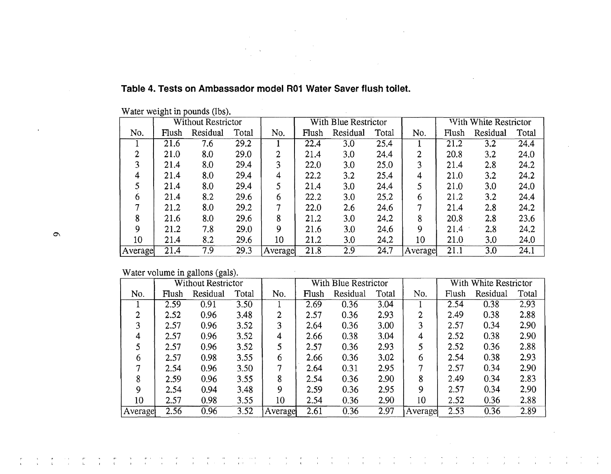|   |         | Without Restrictor |          |       |         | With Blue Restrictor |          |       |         | With White Restrictor |          |       |
|---|---------|--------------------|----------|-------|---------|----------------------|----------|-------|---------|-----------------------|----------|-------|
|   | No.     | Flush              | Residual | Total | No.     | Flush                | Residual | Total | No.     | Flush                 | Residual | Total |
|   |         | 21.6               | 7.6      | 29.2  |         | 22.4                 | 3.0      | 25.4  |         | 21.2                  | 3.2      | 24.4  |
|   | 2       | 21.0               | 8.0      | 29.0  | ŋ.      | 21.4                 | 3.0      | 24.4  | 2       | 20.8                  | 3.2      | 24.0  |
|   | 3       | 21.4               | 8.0      | 29.4  | 3       | 22.0                 | 3.0      | 25.0  | 3       | 21.4                  | 2.8      | 24.2  |
|   | 4       | 21.4               | 8.0      | 29.4  | 4       | 22.2                 | 3.2      | 25.4  | 4       | 21.0                  | 3.2      | 24.2  |
|   |         | 21.4               | 8.0      | 29.4  |         | 21.4                 | 3.0      | 24.4  | 5       | 21.0                  | 3.0      | 24.0  |
|   | 6       | 21.4               | 8.2      | 29.6  | 6       | 22.2                 | 3.0      | 25.2  | 6       | 21.2                  | 3.2      | 24.4  |
|   | −       | 21.2               | 8.0      | 29.2  | 7       | 22.0                 | 2.6      | 24.6  | 7       | 21.4                  | 2.8      | 24.2  |
|   | 8       | 21.6               | 8.0      | 29.6  | 8       | 21.2                 | 3.0      | 24.2  | 8       | 20.8                  | 2.8      | 23.6  |
| Ó | 9       | 21.2               | 7.8      | 29.0  | 9       | 21.6                 | 3.0      | 24.6  | 9       | 21.4                  | 2.8      | 24.2  |
|   | $10 \,$ | 21.4               | 8.2      | 29.6  | 10      | 21.2                 | 3.0      | 24.2  | 10      | 21.0                  | 3.0      | 24.0  |
|   | Average | 21.4               | 7.9      | 29.3  | Average | 21.8                 | 2.9      | 24.7  | Average | 21.1                  | 3.0      | 24.1  |

## **Table 4. Tests on Ambassador model R01 Water Saver flush toilet.**

Water weight in pounds (lbs).

Water volume in gallons (gals).

 $\frac{1}{\sqrt{2}}$ 

 $\frac{m}{4}$ 

 $\frac{1}{\sqrt{2}}$ 

 $\frac{r}{t}$ 

 $\frac{1}{\sqrt{2}}$ 

 $\frac{1}{\sqrt{1+\frac{1}{2}}}$ 

 $\frac{1+\frac{1}{2}}{1-\frac{1}{2}}$ 

 $\label{eq:Riccati} \begin{array}{c} \mathbf{w} & \mathbf{w} \\ \mathbf{v} & \mathbf{w} \end{array}$ 

|         |       | <b>Without Restrictor</b> |       |                |       | With Blue Restrictor |       |         |       | With White Restrictor |       |
|---------|-------|---------------------------|-------|----------------|-------|----------------------|-------|---------|-------|-----------------------|-------|
| No.     | Flush | Residual                  | Total | No.            | Flush | Residual             | Total | No.     | Flush | Residual              | Total |
|         | 2.59  | 0.91                      | 3.50  |                | 2.69  | 0.36                 | 3.04  |         | 2.54  | 0.38                  | 2.93  |
| 2       | 2.52  | 0.96                      | 3.48  | $\overline{2}$ | 2.57  | 0.36                 | 2.93  | 2       | 2.49  | 0.38                  | 2.88  |
| 3       | 2.57  | 0.96                      | 3.52  | 3              | 2.64  | 0.36                 | 3.00  | 3       | 2.57  | 0.34                  | 2.90  |
| 4       | 2.57  | 0.96                      | 3.52  | 4              | 2.66  | 0.38                 | 3.04  | 4       | 2.52  | 0.38                  | 2.90  |
|         | 2.57  | 0.96                      | 3.52  | 5              | 2.57  | 0.36                 | 2.93  | 5       | 2.52  | 0.36                  | 2.88  |
| 6       | 2.57  | 0.98                      | 3.55  | 6              | 2.66  | 0.36                 | 3.02  | 6       | 2.54  | 0.38                  | 2.93  |
|         | 2.54  | 0.96                      | 3.50  |                | 2.64  | 0.31                 | 2.95  |         | 2.57  | 0.34                  | 2.90  |
| 8       | 2.59  | 0.96                      | 3.55  | 8              | 2.54  | 0.36                 | 2.90  | 8       | 2.49  | 0.34                  | 2.83  |
| Q       | 2.54  | 0.94                      | 3.48  | 9              | 2.59  | 0.36                 | 2.95  | 9       | 2.57  | 0.34                  | 2.90  |
| 10      | 2.57  | 0.98                      | 3.55  | 10             | 2.54  | 0.36                 | 2.90  | 10      | 2.52  | 0.36                  | 2.88  |
| Average | 2.56  | 0.96                      | 3.52  | Average        | 2.61  | 0.36                 | 2.97  | Average | 2.53  | 0.36                  | 2.89  |

 $\frac{1}{3}$ 

 $\frac{1}{4}$ 

 $\bar{T}$  $\alpha$ 

 $\frac{r}{t}$  $\frac{1}{\sqrt{2}}$   $\frac{1}{k}$  $\frac{1}{2}$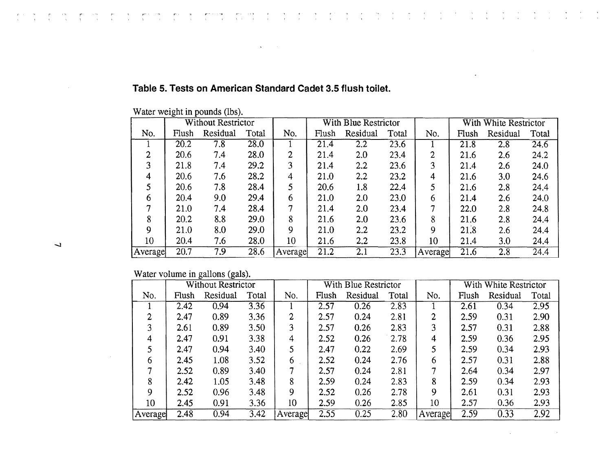|   |                | <b>Without Restrictor</b> |          |       |         | With Blue Restrictor |                  |       | With White Restrictor |       |          |       |
|---|----------------|---------------------------|----------|-------|---------|----------------------|------------------|-------|-----------------------|-------|----------|-------|
|   | No.            | Flush                     | Residual | Total | No.     | Flush                | Residual         | Total | No.                   | Flush | Residual | Total |
|   |                | 20.2                      | 7.8      | 28.0  |         | 21.4                 | 2.2              | 23.6  |                       | 21.8  | 2.8      | 24.6  |
|   | $\overline{2}$ | 20.6                      | 7.4      | 28.0  | 2       | 21.4                 | 2.0              | 23.4  | າ                     | 21.6  | 2.6      | 24.2  |
|   | 3              | 21.8                      | 7.4      | 29.2  | 3       | 21.4                 | 2.2              | 23.6  | 3                     | 21.4  | 2.6      | 24.0  |
|   | 4              | 20.6                      | 7.6      | 28.2  | 4       | 21.0                 | 2.2              | 23.2  | 4                     | 21.6  | 3.0      | 24.6  |
|   |                | 20.6                      | 7.8      | 28.4  | 5       | 20.6                 | 1.8              | 22.4  |                       | 21.6  | 2.8      | 24.4  |
|   | 6              | 20.4                      | 9.0      | 29.4  | 6       | 21.0                 | 2.0              | 23.0  | 6                     | 21.4  | 2.6      | 24.0  |
|   |                | 21.0                      | 7.4      | 28.4  | 7       | 21.4                 | 2.0              | 23.4  | 7                     | 22.0  | 2.8      | 24.8  |
|   | 8              | 20.2                      | 8.8      | 29.0  | 8       | 21.6                 | 2.0              | 23.6  | 8                     | 21.6  | 2.8      | 24.4  |
|   | 9              | 21.0                      | 8.0      | 29.0  | 9       | 21.0                 | $2.2\phantom{0}$ | 23.2  | 9                     | 21.8  | 2.6      | 24.4  |
| 7 | 10             | 20.4                      | 7.6      | 28.0  | 10      | 21.6                 | 2.2              | 23.8  | 10                    | 21.4  | 3.0      | 24.4  |
|   | Average        | 20.7                      | 7.9      | 28.6  | Average | 21.2                 | 2.1              | 23.3  | Average               | 21.6  | 2.8      | 24.4  |

### **Table 5. Tests on American Standard Cadet 3.5 flush toilet.**

 $\mathbf{v}$ 

Water weight in pounds (lbs).

Water volume in gallons (gals).

|         |       | <b>Without Restrictor</b> |       |         |       | With Blue Restrictor |       |         |       | With White Restrictor |       |
|---------|-------|---------------------------|-------|---------|-------|----------------------|-------|---------|-------|-----------------------|-------|
| No.     | Flush | Residual                  | Total | No.     | Flush | Residual             | Total | No.     | Flush | Residual              | Total |
|         | 2.42  | 0.94                      | 3.36  |         | 2.57  | 0.26                 | 2.83  |         | 2.61  | 0.34                  | 2.95  |
| 2       | 2.47  | 0.89                      | 3.36  | 2       | 2.57  | 0.24                 | 2.81  | 2       | 2.59  | 0.31                  | 2.90  |
| 3       | 2.61  | 0.89                      | 3.50  | 3       | 2.57  | 0.26                 | 2.83  | 3       | 2.57  | 0.31                  | 2.88  |
| 4       | 2.47  | 0.91                      | 3.38  | 4       | 2.52  | 0.26                 | 2.78  | 4       | 2.59  | 0.36                  | 2.95  |
|         | 2.47  | 0.94                      | 3.40  | 5       | 2.47  | 0.22                 | 2.69  |         | 2.59  | 0.34                  | 2.93  |
| 6       | 2.45  | 1.08                      | 3.52  | 6       | 2.52  | 0.24                 | 2.76  | 6       | 2.57  | 0.31                  | 2.88  |
|         | 2.52  | 0.89                      | 3.40  |         | 2.57  | 0.24                 | 2.81  | ¬       | 2.64  | 0.34                  | 2.97  |
| 8       | 2.42  | 1.05                      | 3.48  | 8       | 2.59  | 0.24                 | 2.83  | 8       | 2.59  | 0.34                  | 2.93  |
| 9       | 2.52  | 0.96                      | 3.48  | 9       | 2.52  | 0.26                 | 2.78  | 9       | 2.61  | 0.31                  | 2.93  |
| 10      | 2.45  | 0.91                      | 3.36  | 10      | 2.59  | 0.26                 | 2.85  | 10      | 2.57  | 0.36                  | 2.93  |
| Average | 2.48  | 0.94                      | 3.42  | Average | 2.55  | 0.25                 | 2.80  | Average | 2.59  | 0.33                  | 2.92  |

 $\lambda$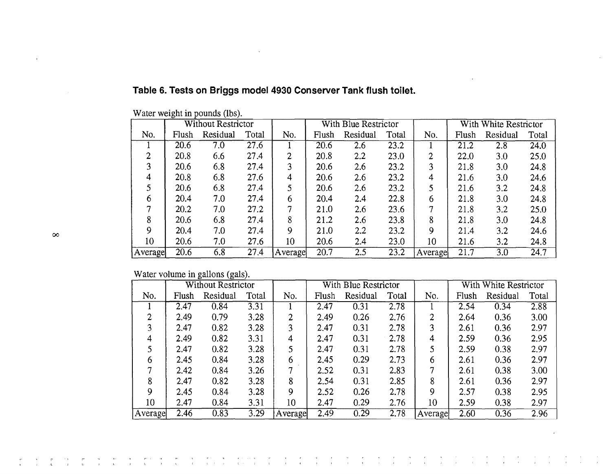|          |         |       | <b>Without Restrictor</b> |       |         |       | With Blue Restrictor |       |         |       | With White Restrictor |       |
|----------|---------|-------|---------------------------|-------|---------|-------|----------------------|-------|---------|-------|-----------------------|-------|
|          | No.     | Flush | Residual                  | Total | No.     | Flush | Residual             | Total | No.     | Flush | Residual              | Total |
|          |         | 20.6  | 7.0                       | 27.6  |         | 20.6  | 2.6                  | 23.2  |         | 21.2  | 2.8                   | 24.0  |
|          | ◠       | 20.8  | 6.6                       | 27.4  | ↑       | 20.8  | 2.2                  | 23.0  | າ<br>ı  | 22.0  | 3.0                   | 25.0  |
|          | 3       | 20.6  | 6.8                       | 27.4  | 3       | 20.6  | 2.6                  | 23.2  | 3       | 21.8  | 3.0                   | 24.8  |
|          | 4       | 20.8  | 6.8                       | 27.6  | 4       | 20.6  | 2.6                  | 23.2  | 4       | 21.6  | 3.0                   | 24.6  |
|          |         | 20.6  | 6.8                       | 27.4  |         | 20.6  | 2.6                  | 23.2  |         | 21.6  | 3.2                   | 24.8  |
|          | 6       | 20.4  | 7.0                       | 27.4  | 6       | 20.4  | 2.4                  | 22.8  | 6       | 21.8  | 3.0                   | 24.8  |
|          | ¬       | 20.2  | 7.0                       | 27.2  |         | 21.0  | 2.6                  | 23.6  | 7       | 21.8  | 3.2                   | 25.0  |
|          | 8       | 20.6  | 6.8                       | 27.4  | 8       | 21.2  | 2.6                  | 23.8  | 8       | 21.8  | 3.0                   | 24.8  |
| $\infty$ | 9       | 20.4  | 7.0                       | 27.4  | 9       | 21.0  | $2.2\phantom{0}$     | 23.2  | 9       | 21.4  | 3.2                   | 24.6  |
|          | 10      | 20.6  | 7.0                       | 27.6  | 10      | 20.6  | 2.4                  | 23.0  | 10      | 21.6  | 3.2                   | 24.8  |
|          | Average | 20.6  | 6.8                       | 27.4  | Average | 20.7  | 2.5                  | 23.2  | Average | 21.7  | 3.0                   | 24.7  |

 $\sim$ 

### **Table 6. Tests on Briggs model 4930 Conserver Tank flush toilet.**

ing the process of the process of the process of the process of the control of the control of the control of t<br>The process of the process of the control of the process of the control of the control of the process of the p

Water weight **in** pounds (lbs).

Water volume **in** gallons (gals).

|         |       | <b>Without Restrictor</b> |       |         |       | With Blue Restrictor |       |         |       | With White Restrictor |       |
|---------|-------|---------------------------|-------|---------|-------|----------------------|-------|---------|-------|-----------------------|-------|
| No.     | Flush | Residual                  | Total | No.     | Flush | Residual             | Total | No.     | Flush | Residual              | Total |
|         | 2.47  | 0.84                      | 3.31  |         | 2.47  | 0.31                 | 2.78  |         | 2.54  | 0.34                  | 2.88  |
| ↑       | 2.49  | 0.79                      | 3.28  | 2       | 2.49  | 0.26                 | 2.76  | 2       | 2.64  | 0.36                  | 3.00  |
| 3       | 2.47  | 0.82                      | 3.28  | 3       | 2.47  | 0.31                 | 2.78  | 3       | 2.61  | 0.36                  | 2.97  |
| 4       | 2.49  | 0.82                      | 3.31  | 4       | 2.47  | 0.31                 | 2.78  | 4       | 2.59  | 0.36                  | 2.95  |
|         | 2.47  | 0.82                      | 3.28  |         | 2.47  | 0.31                 | 2.78  | 5       | 2.59  | 0.38                  | 2.97  |
| 6       | 2.45  | 0.84                      | 3.28  | 6       | 2.45  | 0.29                 | 2.73  | 6       | 2.61  | 0.36                  | 2.97  |
|         | 2.42  | 0.84                      | 3.26  | 7       | 2.52  | 0.31                 | 2.83  |         | 2.61  | 0.38                  | 3.00  |
| 8       | 2.47  | 0.82                      | 3.28  | 8       | 2.54  | 0.31                 | 2.85  | 8       | 2.61  | 0.36                  | 2.97  |
| 9       | 2.45  | 0.84                      | 3.28  | 9       | 2.52  | 0.26                 | 2.78  | 9       | 2.57  | 0.38                  | 2.95  |
| 10      | 2.47  | 0.84                      | 3.31  | 10      | 2.47  | 0.29                 | 2.76  | 10      | 2.59  | 0.38                  | 2.97  |
| Average | 2.46  | 0.83                      | 3.29  | Average | 2.49  | 0.29                 | 2.78  | Average | 2.60  | 0.36                  | 2.96  |

 $\frac{1}{\sqrt{1-\lambda}}$  $\frac{1}{4}$   $\frac{1}{2}$  .  $\frac{1}{\sqrt{2}}$ 

 $\bar{r}$ 

 $\frac{1}{2}$ 

 $\mathbf{r}$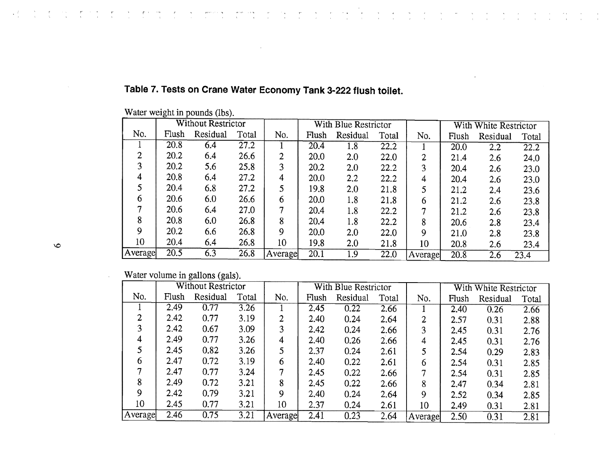|         |         |       | Without Restrictor |       |         |       | With Blue Restrictor |       |                |       | With White Restrictor |       |
|---------|---------|-------|--------------------|-------|---------|-------|----------------------|-------|----------------|-------|-----------------------|-------|
|         | No.     | Flush | Residual           | Total | No.     | Flush | Residual             | Total | No.            | Flush | Residual              | Total |
|         |         | 20.8  | 6.4                | 27.2  |         | 20.4  | 1.8                  | 22.2  |                | 20.0  | $2.\overline{2}$      | 22.2  |
|         | ↑       | 20.2  | 6.4                | 26.6  | 2       | 20.0  | 2.0                  | 22.0  | $\overline{2}$ | 21.4  | 2.6                   | 24.0  |
|         | 3       | 20.2  | 5.6                | 25.8  | 3       | 20.2  | 2.0                  | 22.2  | 3              | 20.4  | 2.6                   | 23.0  |
|         | 4       | 20.8  | 6.4                | 27.2  | 4       | 20.0  | 2.2                  | 22.2  | 4              | 20.4  | 2.6                   | 23.0  |
|         |         | 20.4  | 6.8                | 27.2  | 5       | 19.8  | 2.0                  | 21.8  |                | 21.2  | 2.4                   | 23.6  |
|         | 6       | 20.6  | 6.0                | 26.6  | 6       | 20.0  | 1.8                  | 21.8  | 6              | 21.2  | 2.6                   | 23.8  |
|         |         | 20.6  | 6.4                | 27.0  | 7       | 20.4  | 1.8                  | 22.2  | 7              | 21.2  | 2.6                   | 23.8  |
|         | 8       | 20.8  | 6.0                | 26.8  | 8       | 20.4  | 1.8                  | 22.2  | 8              | 20.6  | 2.8                   | 23.4  |
|         | 9       | 20.2  | 6.6                | 26.8  | 9       | 20.0  | 2.0                  | 22.0  | 9              | 21.0  | 2.8                   | 23.8  |
| $\circ$ | 10      | 20.4  | 6.4                | 26.8  | 10      | 19.8  | 2.0                  | 21.8  | 10             | 20.8  | 2.6                   | 23.4  |
|         | Average | 20.5  | 6.3                | 26.8  | Average | 20.1  | 1.9                  | 22.0  | Average        | 20.8  | 2.6                   | 23.4  |

 $\frac{1}{2}$ 

 $\sim$ 

 $\alpha$  ,  $\beta$ 

 $\frac{1}{\sqrt{2}}\sum_{i=1}^{n-1}\frac{1}{i} \left( \frac{1}{i} \sum_{j=1}^{n-1} \frac{1}{j} \right) \left( \frac{1}{i} \sum_{j=1}^{n-1} \frac{1}{j} \right)$ 

 $\sim$ 

 $\frac{1}{2}$  ,  $\frac{1}{2}$ 

 $\sim$  $\sim 10$   $\sim 10^{-1}$ 

 $\mathcal{L}_{\text{max}}$  and  $\mathcal{L}_{\text{max}}$  and  $\mathcal{L}_{\text{max}}$ 

 $\frac{1}{2}$ 

# Table 7. Tests on Crane Water Economy Tank 3-222 flush toilet.

 $\sim$   $\sigma$ 

 $\frac{1}{\sqrt{2}}$ 

 $\mathcal{F}_{\mathcal{D}}$  .

 $\mathcal{A}^{\text{c}}$  , where  $\mathcal{A}^{\text{c}}$ 

Water weight in pounds (lbs).

re de la companion de la companion de la companion de la primera de la provincia de l'americana la campa compa<br>La provincia del Companion de la companion de la companion de la companion de la companion de la companion de

Water volume in gallons (gals).

|         |       | Without Restrictor |       |         |       | With Blue Restrictor |       |         |       | With White Restrictor |       |
|---------|-------|--------------------|-------|---------|-------|----------------------|-------|---------|-------|-----------------------|-------|
| No.     | Flush | Residual           | Total | No.     | Flush | Residual             | Total | No.     | Flush | Residual              | Total |
|         | 2.49  | 0.77               | 3.26  |         | 2.45  | 0.22                 | 2.66  |         | 2.40  | 0.26                  | 2.66  |
| 2       | 2.42  | 0.77               | 3.19  | 2       | 2.40  | 0.24                 | 2.64  |         | 2.57  | 0.31                  | 2.88  |
| 3       | 2.42  | 0.67               | 3.09  | 3       | 2.42  | 0.24                 | 2.66  | 3       | 2.45  | 0.31                  | 2.76  |
| 4       | 2.49  | 0.77               | 3.26  | 4       | 2.40  | 0.26                 | 2.66  | 4       | 2.45  | 0.31                  | 2.76  |
|         | 2.45  | 0.82               | 3.26  | 5       | 2.37  | 0.24                 | 2.61  |         | 2.54  | 0.29                  | 2.83  |
| 6       | 2.47  | 0.72               | 3.19  | 6       | 2.40  | 0.22                 | 2.61  | 6       | 2.54  | 0.31                  | 2.85  |
|         | 2.47  | 0.77               | 3.24  | 7       | 2.45  | 0.22                 | 2.66  |         | 2.54  | 0.31                  | 2.85  |
| 8       | 2.49  | 0.72               | 3.21  | 8       | 2.45  | 0.22                 | 2.66  | 8       | 2.47  | 0.34                  | 2.81  |
| 9       | 2.42  | 0.79               | 3.21  | 9       | 2.40  | 0.24                 | 2.64  | 9       | 2.52  | 0.34                  | 2.85  |
| 10      | 2.45  | 0.77               | 3.21  | 10      | 2.37  | 0.24                 | 2.61  | 10      | 2.49  | 0.31                  | 2.81  |
| Average | 2.46  | 0.75               | 3.21  | Average | 2.41  | 0.23                 | 2.64  | Average | 2.50  | 0.31                  | 2.81  |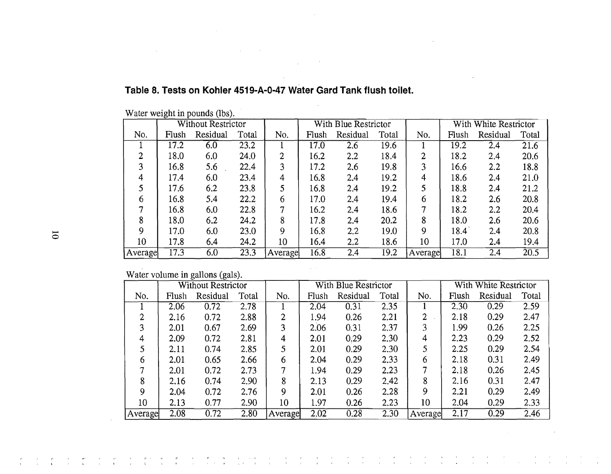|         |       | <b>Without Restrictor</b> |       |         |       | With Blue Restrictor |       |         |       | With White Restrictor |                   |
|---------|-------|---------------------------|-------|---------|-------|----------------------|-------|---------|-------|-----------------------|-------------------|
| No.     | Flush | Residual                  | Total | No.     | Flush | Residual             | Total | No.     | Flush | Residual              | Total             |
|         | 17.2  | 6.0                       | 23.2  |         | 17.0  | 2.6                  | 19.6  |         | 19.2  | 2.4                   | 21.6              |
| 2       | 18.0  | 6.0                       | 24.0  | 2       | 16.2  | 2.2                  | 18.4  | 2       | 18.2  | 2.4                   | 20.6              |
| 3       | 16.8  | 5.6                       | 22.4  | 3       | 17.2  | 2.6                  | 19.8  | 3       | 16.6  | $2.2\,$               | 18.8              |
| 4       | 17.4  | 6.0                       | 23.4  | 4       | 16.8  | 2.4                  | 19.2  | 4       | 18.6  | 2.4                   | 21.0              |
| 5       | 17.6  | 6.2                       | 23.8  |         | 16.8  | 2.4                  | 19.2  | 5       | 18.8  | 2.4                   | 21.2              |
| 6       | 16.8  | 5.4                       | 22.2  | 6       | 17.0  | 2.4                  | 19.4  | 6       | 18.2  | 2.6                   | 20.8              |
|         | 16.8  | 6.0                       | 22.8  | 7       | 16.2  | 2.4                  | 18.6  |         | 18.2  | $2.2\,$               | 20.4              |
| 8       | 18.0  | 6.2                       | 24.2  | 8       | 17.8  | 2.4                  | 20.2  | 8       | 18.0  | 2.6                   | 20.6              |
| 9       | 17.0  | 6.0                       | 23.0  | 9       | 16.8  | 2.2                  | 19.0  | Q       | 18.4  | 2.4                   | 20.8              |
| 10      | 17.8  | 6.4                       | 24.2  | 10      | 16.4  | 2.2                  | 18.6  | 10      | 17.0  | 2.4                   | 19.4              |
| Average | 17.3  | 6.0                       | 23.3  | Average | 16.8  | 2.4                  | 19.2  | Average | 18.1  | 2.4                   | $\overline{20.5}$ |

#### **Table 8. Tests on Kohler 4S19-A-O-47 Water Gard Tank flush toilet.**

 $\mathcal{L}^{\mathcal{L}}(\mathcal{L}^{\mathcal{L}})$  and  $\mathcal{L}^{\mathcal{L}}(\mathcal{L}^{\mathcal{L}})$  and  $\mathcal{L}^{\mathcal{L}}(\mathcal{L}^{\mathcal{L}})$ 

 $\sim$ 

 $\sqrt{1-\lambda}$ 

 $\mathcal{L}^{\mathcal{L}}$  and  $\mathcal{L}^{\mathcal{L}}$  and  $\mathcal{L}^{\mathcal{L}}$  and  $\mathcal{L}^{\mathcal{L}}$ 

Water weight in pounds (lbs).

 $\sim 10^{-1}$ 

Water volume in gallons (gals).

|         |       | <b>Without Restrictor</b> |       |         |       | With Blue Restrictor |       |         |       | With White Restrictor |       |
|---------|-------|---------------------------|-------|---------|-------|----------------------|-------|---------|-------|-----------------------|-------|
| No.     | Flush | Residual                  | Total | No.     | Flush | Residual             | Total | No.     | Flush | Residual              | Total |
|         | 2.06  | 0.72                      | 2.78  |         | 2.04  | 0.31                 | 2.35  |         | 2.30  | 0.29                  | 2.59  |
| 2       | 2.16  | 0.72                      | 2.88  | 2       | 1.94  | 0.26                 | 2.21  | 2       | 2.18  | 0.29                  | 2.47  |
| 3       | 2.01  | 0.67                      | 2.69  | 3       | 2.06  | 0.31                 | 2.37  |         | 1.99  | 0.26                  | 2.25  |
| 4       | 2.09  | 0.72                      | 2.81  | 4       | 2.01  | 0.29                 | 2.30  | 4       | 2.23  | 0.29                  | 2.52  |
|         | 2.11  | 0.74                      | 2.85  |         | 2.01  | 0.29                 | 2.30  |         | 2.25  | 0.29                  | 2.54  |
| 6       | 2.01  | 0.65                      | 2.66  | 6       | 2.04  | 0.29                 | 2.33  | 6       | 2.18  | 0.31                  | 2.49  |
|         | 2.01  | 0.72                      | 2.73  | 7       | 1.94  | 0.29                 | 2.23  |         | 2.18  | 0.26                  | 2.45  |
| 8       | 2.16  | 0.74                      | 2.90  | 8       | 2.13  | 0.29                 | 2.42  | 8       | 2.16  | 0.31                  | 2.47  |
| 9       | 2.04  | 0.72                      | 2.76  | 9       | 2.01  | 0.26                 | 2.28  | 9       | 2.21  | 0.29                  | 2.49  |
| 10      | 2.13  | 0.77                      | 2.90  | 10      | 1.97  | 0.26                 | 2.23  | 10      | 2.04  | 0.29                  | 2.33  |
| Average | 2.08  | 0.72                      | 2.80  | Average | 2.02  | 0.28                 | 2.30  | Average | 2.17  | 0.29                  | 2.46  |

 $\label{eq:2.1} \frac{d\mathbf{r}}{d\mathbf{r}} = \frac{d\mathbf{r}}{d\mathbf{r}} = \frac{d\mathbf{r}}{d\mathbf{r}} = \frac{d\mathbf{r}}{d\mathbf{r}} = \frac{d\mathbf{r}}{d\mathbf{r}} = \frac{d\mathbf{r}}{d\mathbf{r}} = \frac{d\mathbf{r}}{d\mathbf{r}}$ 

 $\sim 10^{-10}$ 

 $\sim 10^6$ 

 $\overline{\sigma}$ 

r (

 $\frac{1}{4}$  .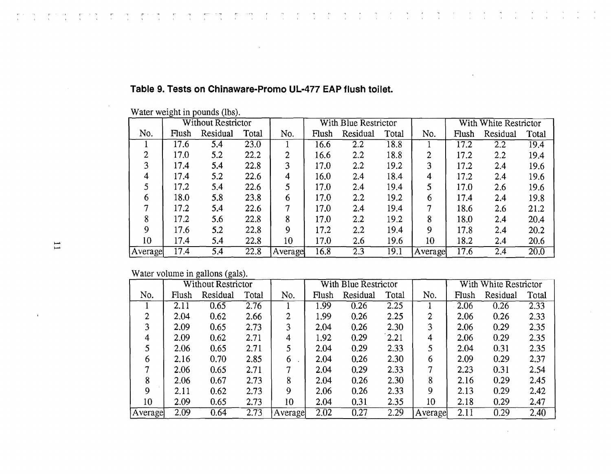|         | <b>Without Restrictor</b> |          |       |         |       | With Blue Restrictor |       |         |       | With White Restrictor |       |
|---------|---------------------------|----------|-------|---------|-------|----------------------|-------|---------|-------|-----------------------|-------|
| No.     | Flush                     | Residual | Total | No.     | Flush | Residual             | Total | No.     | Flush | Residual              | Total |
|         | 17.6                      | 5.4      | 23.0  |         | 16.6  | 2.2                  | 18.8  |         | 17.2  | 2.2                   | 19.4  |
| 2       | 17.0                      | 5.2      | 22.2  | 2       | 16.6  | 2.2                  | 18.8  | 2       | 17.2  | $2.2\,$               | 19.4  |
| 3       | 17.4                      | 5.4      | 22.8  | 3       | 17.0  | $2.2\,$              | 19.2  | 3       | 17.2  | 2.4                   | 19.6  |
| 4       | 17.4                      | 5.2      | 22.6  | 4       | 16.0  | 2.4                  | 18.4  | 4       | 17.2  | 2.4                   | 19.6  |
|         | 17.2                      | 5.4      | 22.6  | 5       | 17.0  | 2.4                  | 19.4  | 5       | 17.0  | 2.6                   | 19.6  |
| 6       | 18.0                      | 5.8      | 23.8  | 6       | 17.0  | $2.2\,$              | 19.2  | 6       | 17.4  | 2.4                   | 19.8  |
|         | 17.2                      | 5.4      | 22.6  |         | 17.0  | 2.4                  | 19.4  | 7       | 18.6  | 2.6                   | 21.2  |
| 8       | 17.2                      | 5.6      | 22.8  | 8       | 17.0  | 2.2                  | 19.2  | 8       | 18.0  | 2.4                   | 20.4  |
| 9       | 17.6                      | 5.2      | 22.8  | 9       | 17.2  | 2,2                  | 19.4  | 9       | 17.8  | 2.4                   | 20.2  |
| 10      | 17.4                      | 5.4      | 22.8  | 10      | 17.0  | 2.6                  | 19.6  | 10      | 18.2  | 2.4                   | 20.6  |
| Average | 17.4                      | 5.4      | 22.8  | Average | 16.8  | 2.3                  | 19.1  | Average | 17.6  | 2.4                   | 20.0  |

 $\frac{1}{2}$  ,  $\frac{1}{2}$ 

 $\frac{1}{\sqrt{2}}$  $\frac{1}{2}$  ,  $\frac{1}{2}$   $\frac{1}{\sqrt{2}}$ 

 $\frac{1}{\sqrt{2}}$ 

 $\mathcal{L}^{\mathcal{L}}$  $\frac{1}{\sqrt{2}}$   $\frac{1}{2}$ 

 $\label{eq:2} \frac{1}{2} \left( \frac{1}{2} \frac{1}{2} \right) \left( \frac{1}{2} \right) \left( \frac{1}{2} \right) \left( \frac{1}{2} \right)$ 

 $\frac{1}{\sqrt{2}}$ 

 $\frac{1}{2}$ 

 $\frac{1}{2}$ 

### **Table 9. Tests on Chinaware-Promo UL-477 EAP flush toilet.**

ing personal and the product of the second state of the second state of the second state of the second state o<br>The second state of the second state of the second state of the second state of the second state of the second

Water weight in pounds (lbs).

Water volume in gallons (gals).

|         |       | <b>Without Restrictor</b> |       |         |       | With Blue Restrictor |       |         |       | With White Restrictor |       |
|---------|-------|---------------------------|-------|---------|-------|----------------------|-------|---------|-------|-----------------------|-------|
| No.     | Flush | Residual                  | Total | No.     | Flush | Residual             | Total | No.     | Flush | Residual              | Total |
|         | 2.11  | 0.65                      | 2.76  |         | 1.99  | 0.26                 | 2.25  |         | 2.06  | 0.26                  | 2.33  |
| ↑       | 2.04  | 0.62                      | 2.66  | 2       | 1.99  | 0.26                 | 2.25  | 2       | 2.06  | 0.26                  | 2.33  |
| 3       | 2.09  | 0.65                      | 2.73  | 3       | 2.04  | 0.26                 | 2.30  | 3       | 2.06  | 0.29                  | 2.35  |
| 4       | 2.09  | 0.62                      | 2.71  | 4       | 1.92  | 0.29                 | 2.21  | 4       | 2.06  | 0.29                  | 2.35  |
| 5       | 2.06  | 0.65                      | 2.71  | 5       | 2.04  | 0.29                 | 2.33  | 5       | 2.04  | 0.31                  | 2.35  |
| 6       | 2.16  | 0.70                      | 2.85  | 6       | 2.04  | 0.26                 | 2.30  | 6       | 2.09  | 0.29                  | 2.37  |
|         | 2.06  | 0.65                      | 2.71  | 7       | 2.04  | 0.29                 | 2.33  |         | 2.23  | 0.31                  | 2.54  |
| 8       | 2.06  | 0.67                      | 2.73  | 8       | 2.04  | 0.26                 | 2.30  | 8       | 2.16  | 0.29                  | 2.45  |
| 9       | 2.11  | 0.62                      | 2.73  | 9       | 2.06  | 0.26                 | 2.33  | 9       | 2.13  | 0.29                  | 2.42  |
| 10      | 2.09  | 0.65                      | 2.73  | 10      | 2.04  | 0.31                 | 2.35  | 10      | 2.18  | 0.29                  | 2.47  |
| Average | 2.09  | 0.64                      | 2.73  | Average | 2.02  | 0.27                 | 2.29  | Average | 2.11  | 0.29                  | 2.40  |

 $\mathbf{I}$ 

r'i mandritry de la provincia de la provincia de la provincia de la provincia de la provincia de la provincia <br>La provincia de la provincia de la provincia de la provincia de la provincia de la provincia de la provincia d

 $\bar{\phantom{a}}$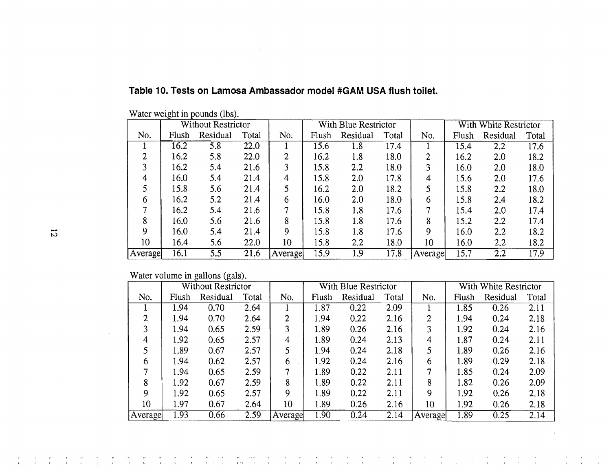|         |       | <b>Without Restrictor</b> |       |                |       | With Blue Restrictor |       |         |       | With White Restrictor |       |
|---------|-------|---------------------------|-------|----------------|-------|----------------------|-------|---------|-------|-----------------------|-------|
| No.     | Flush | Residual                  | Total | No.            | Flush | Residual             | Total | No.     | Flush | Residual              | Total |
|         | 16.2  | 5.8                       | 22.0  |                | 15.6  | 1.8                  | 17.4  |         | 15.4  | 2.2                   | 17.6  |
| 2       | 16.2  | 5.8                       | 22.0  | $\overline{2}$ | 16.2  | 1.8                  | 18.0  | 2       | 16.2  | 2.0                   | 18.2  |
| 3       | 16.2  | 5.4                       | 21.6  | 3              | 15.8  | 2.2                  | 18.0  | 3       | 16.0  | 2.0                   | 18.0  |
| 4       | 16.0  | 5.4                       | 21.4  | 4              | 15.8  | 2.0                  | 17.8  | 4       | 15.6  | 2.0                   | 17.6  |
|         | 15.8  | 5.6                       | 21.4  | 5              | 16.2  | 2.0                  | 18.2  |         | 15.8  | 2.2                   | 18.0  |
| 6       | 16.2  | 5.2                       | 21.4  | 6              | 16.0  | 2.0                  | 18.0  | 6       | 15.8  | 2.4                   | 18.2  |
|         | 16.2  | 5.4                       | 21.6  | IJ             | 15.8  | 1.8                  | 17.6  | 7       | 15.4  | 2.0                   | 17.4  |
| 8       | 16.0  | 5.6                       | 21.6  | 8              | 15.8  | 1.8                  | 17.6  | 8       | 15.2  | 2.2                   | 17.4  |
| Q       | 16.0  | 5.4                       | 21.4  | 9              | 15.8  | 1.8                  | 17.6  | 9       | 16.0  | 2.2                   | 18.2  |
| 10      | 16.4  | 5.6                       | 22.0  | 10             | 15.8  | 2.2                  | 18.0  | 10      | 16.0  | 2,2                   | 18.2  |
| Average | 16.1  | 5.5                       | 21.6  | Average        | 15.9  | 1.9                  | 17.8  | Average | 15.7  | 2.2                   | 17.9  |
|         |       |                           |       |                |       |                      |       |         |       |                       |       |

#### **Table 10. Tests on lamosa Ambassador model #GAM USA flush toilet.**

 $\mathcal{F}^{\text{max}}_{\text{max}}$ 

Water weight **in** pounds (lbs).

Water volume in gallons (gals).

|         |       | <b>Without Restrictor</b> |       |         |       | With Blue Restrictor |       |         |       | With White Restrictor |       |
|---------|-------|---------------------------|-------|---------|-------|----------------------|-------|---------|-------|-----------------------|-------|
| No.     | Flush | Residual                  | Total | No.     | Flush | Residual             | Total | No.     | Flush | Residual              | Total |
|         | 1.94  | 0.70                      | 2.64  |         | 1.87  | 0.22                 | 2.09  |         | 1.85  | 0.26                  | 2.11  |
| ◠       | 1.94  | 0.70                      | 2.64  | 2       | 1.94  | 0.22                 | 2.16  | 2       | 1.94  | 0.24                  | 2.18  |
| ٩       | 1.94  | 0.65                      | 2.59  | 3       | 1.89  | 0.26                 | 2.16  | ٦       | 1.92  | 0.24                  | 2.16  |
| 4       | 1.92  | 0.65                      | 2.57  | 4       | 1.89  | 0.24                 | 2.13  | 4       | 1.87  | 0.24                  | 2.11  |
|         | 1.89  | 0.67                      | 2.57  | 5       | 1.94  | 0.24                 | 2.18  | 5       | 1.89  | 0.26                  | 2.16  |
| 6       | 1.94  | 0.62                      | 2.57  | 6       | 1.92  | 0.24                 | 2.16  | 6       | 1.89  | 0.29                  | 2.18  |
|         | l.94  | 0.65                      | 2.59  |         | 1.89  | 0.22                 | 2.11  |         | 1.85  | 0.24                  | 2.09  |
| 8       | 1.92  | 0.67                      | 2.59  | 8       | 1.89  | 0.22                 | 2.11  | 8       | 1.82  | 0.26                  | 2.09  |
| g       | 1.92  | 0.65                      | 2.57  | 9       | 1.89  | 0.22                 | 2.11  | Q       | 1.92  | 0.26                  | 2.18  |
| 10      | 1.97  | 0.67                      | 2.64  | 10      | 1.89  | 0.26                 | 2.16  | 10      | 1.92  | 0.26                  | 2.18  |
| Average | 1.93  | 0.66                      | 2.59  | Average | 1.90  | 0.24                 | 2.14  | Average | 1.89  | 0.25                  | 2.14  |

 $\frac{1}{2}$  ,  $\frac{1}{2}$  ,  $\frac{1}{2}$  ,  $\frac{1}{2}$ 

 $\frac{1}{\sqrt{2}}\left(\frac{1}{\sqrt{2}}\right)^{2}$  ,  $\frac{1}{\sqrt{2}}\left(\frac{1}{\sqrt{2}}\right)$ 

 $\frac{1}{2}$  ,  $\frac{1}{2}$ 

 $\frac{1}{2}$  ,  $\frac{1}{2}$  ,  $\frac{1}{2}$  ,  $\frac{1}{2}$  ,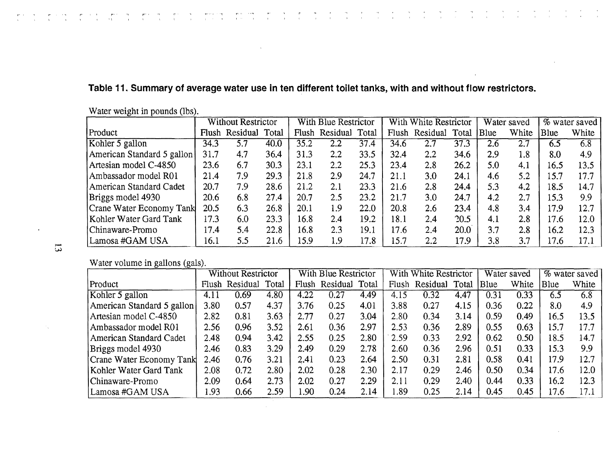## **Table 11. Summary of average water use in ten different toilet tanks, with and without flow restrictors.**

|                            |      | <b>Without Restrictor</b><br>Flush Residual Total |      |      | With Blue Restrictor |      |      | With White Restrictor |      |      | Water saved |      | % water saved |
|----------------------------|------|---------------------------------------------------|------|------|----------------------|------|------|-----------------------|------|------|-------------|------|---------------|
| Product                    |      |                                                   |      |      | Flush Residual Total |      |      | Flush Residual Total  |      | Blue | White       | Blue | White         |
| Kohler 5 gallon            | 34.3 | 5.7                                               | 40.0 | 35.2 | 2.2                  | 37.4 | 34.6 | 2.7                   | 37.3 | 2.6  | 2.7         | 6.5  | 6.8           |
| American Standard 5 gallon | 31.7 | 4.7                                               | 36.4 | 31.3 | 2,2                  | 33.5 | 32.4 | 2.2                   | 34.6 | 2.9  | 1.8         | 8.0  | 4.9           |
| Artesian model C-4850      | 23.6 | 6.7                                               | 30.3 | 23.1 | 2.2                  | 25.3 | 23.4 | 2.8                   | 26.2 | 5.0  | 4.1         | 16.5 | 13.5          |
| Ambassador model R01       | 21.4 | 7.9                                               | 29.3 | 21.8 | 2.9                  | 24.7 | 21.1 | 3.0                   | 24.1 | 4.6  | 5.2         | 15.7 | 17.7          |
| American Standard Cadet    | 20.7 | 7.9                                               | 28.6 | 21.2 | 2.1                  | 23.3 | 21.6 | 2.8                   | 24.4 | 5.3  | 4.2         | 18.5 | 14.7          |
| Briggs model 4930          | 20.6 | 6.8                                               | 27.4 | 20.7 | 2.5                  | 23.2 | 21.7 | 3.0                   | 24.7 | 4.2  | 2.7         | 15.3 | 9.9           |
| Crane Water Economy Tank   | 20.5 | 6.3                                               | 26.8 | 20.1 | 1.9                  | 22.0 | 20.8 | 2.6                   | 23.4 | 4.8  | 3.4         | 17.9 | 12.7          |
| Kohler Water Gard Tank     | 17.3 | 6.0                                               | 23.3 | 16.8 | 2.4                  | 19.2 | 18.1 | 2.4                   | 20.5 | 4.1  | 2.8         | 17.6 | 12.0          |
| Chinaware-Promo            | 17.4 | 5.4                                               | 22.8 | 16.8 | 2.3                  | 19.1 | 17.6 | 2.4                   | 20.0 | 3.7  | 2.8         | 16.2 | 12.3          |
| Lamosa #GAM USA            | 16.1 | 5.5                                               | 21.6 | 15.9 | 1.9                  | 17.8 | 15.7 | 2.2                   | 17.9 | 3.8  | 3.7         | 17.6 | 17.1          |

Water weight in pounds (lbs).

Water volume in gallons (gals).

| ັ<br>$\sim$                | <b>Without Restrictor</b> |          |       | With Blue Restrictor |          |       | With White Restrictor |          |       | Water saved |       | % water saved |       |
|----------------------------|---------------------------|----------|-------|----------------------|----------|-------|-----------------------|----------|-------|-------------|-------|---------------|-------|
| Product                    | Flush                     | Residual | Total | Flush                | Residual | Total | Flush                 | Residual | Total | Blue        | White | Blue          | White |
| Kohler 5 gallon            | 4.11                      | 0.69     | 4.80  | 4.22                 | 0.27     | 4.49  | 4.15                  | 0.32     | 4.47  | 0.31        | 0.33  | 6.5           | 6.8   |
| American Standard 5 gallon | 3.80                      | 0.57     | 4.37  | 3.76                 | 0.25     | 4.01  | 3.88                  | 0.27     | 4.15  | 0.36        | 0.22  | 8.0           | 4.9   |
| Artesian model C-4850      | 2.82                      | 0.81     | 3.63  | 2.77                 | 0.27     | 3.04  | 2.80                  | 0.34     | 3.14  | 0.59        | 0.49  | 16.5          | 13.5  |
| Ambassador model R01       | 2.56                      | 0.96     | 3.52  | 2.61                 | 0.36     | 2.97  | 2.53                  | 0.36     | 2.89  | 0.55        | 0.63  | 15.7          | 17.7  |
| American Standard Cadet    | 2.48                      | 0.94     | 3.42  | 2.55                 | 0.25     | 2.80  | 2.59                  | 0.33     | 2.92  | 0.62        | 0.50  | 18.5          | 14.7  |
| Briggs model 4930          | 2.46                      | 0.83     | 3.29  | 2.49                 | 0.29     | 2.78  | 2.60                  | 0.36     | 2.96  | 0.51        | 0.33  | 15.3          | 9.9   |
| Crane Water Economy Tank   | 2.46                      | 0.76     | 3.21  | 2.41                 | 0.23     | 2.64  | 2.50                  | 0.31     | 2.81  | 0.58        | 0.41  | 17.9          | 12.7  |
| Kohler Water Gard Tank     | 2.08                      | 0.72     | 2.80  | 2.02                 | 0.28     | 2.30  | 2.17                  | 0.29     | 2.46  | 0.50        | 0.34  | 17.6          | 12.0  |
| Chinaware-Promo            | 2.09                      | 0.64     | 2.73  | 2.02                 | 0.27     | 2.29  | 2.11                  | 0.29     | 2.40  | 0.44        | 0.33  | 16.2          | 12.3  |
| Lamosa #GAM USA            | l.93                      | 0.66     | 2.59  | .90                  | 0.24     | 2.14  | .89                   | 0.25     | 2.14  | 0.45        | 0.45  | 17.6          | 17.1  |

w.J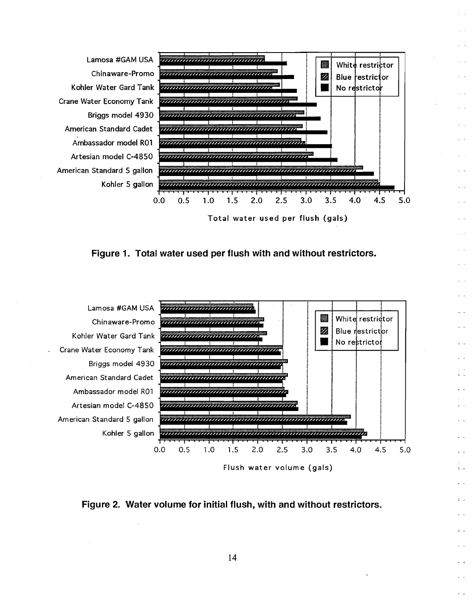







Flush water volume (gals)

Èш

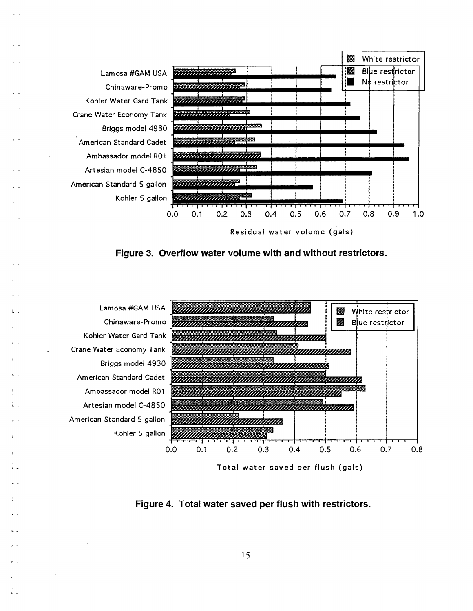

**Figure 3. Overflow water volume with and without restrictors.** 



 $L =$ 

l \_

Total water saved per **flush** (gals)

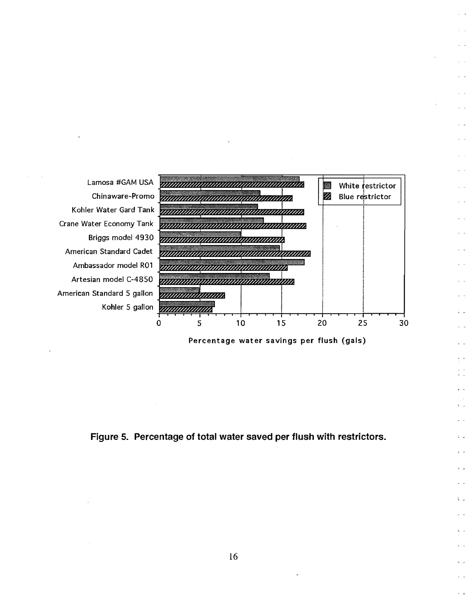

, -

 $l =$ 

£ц

Figure 5. Percentage of total water saved per flush with restrictors.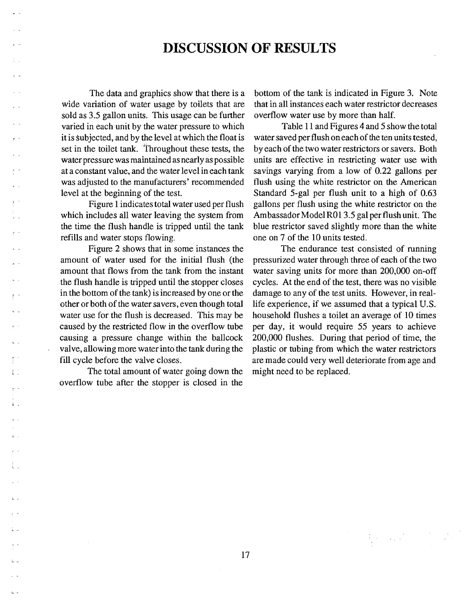## **DISCUSSION OF RESULTS**

The data and graphics show that there is a wide variation of water usage by toilets that are sold as 3.5 gallon units. This usage can be further varied in each unit by the water pressure to which it is subjected, and by the level at which the float is set in the toilet tank. Throughout these tests, the water pressure was maintained as nearly as possible at a constant value, and the water level in each tank was adjusted to the manufacturers' recommended level at the beginning of the test.

Figure 1 indicates total water used per flush which includes all water leaving the system from the time the flush handle is tripped until the tank refills and water stops flowing.

Figure 2 shows that in some instances the amount of water used for the initial flush (the amount that flows from the tank from the instant the flush handle is tripped until the stopper closes in the bottom of the tank) is increased by one or the other or both of the water savers, even though total water use for the flush is decreased. This may be caused by the restricted flow in the overflow tube causing a pressure change within the ballcock valve, allowing more water into the tank during the fill cycle before the valve closes.

The total amount of water going down the overflow tube after the stopper is closed in the

 $\mathbf{L}$ 

L \_

د عا

bottom of the tank is indicated in Figure 3. Note that in all instances each water restrictor decreases overflow water use by more than half.

Table 11 and Figures 4 and 5 show the total water saved per flush on each of the ten units tested, by each of the two water restrictors or savers. Both units are effective in restricting water use with sa vings varying from a low of 0.22 gallons per flush using the white restrictor on the American Standard 5-gal per flush unit to a high of 0.63 gallons per flush using the white restrictor on the Am bassador Model R01 3.5 gal per flush unit. The blue restrictor saved slightly more than the white one on 7 of the 10 units tested.

The endurance test consisted of running pressurized water through three of each of the two water saving units for more than 200,000 on-off cycles. At the end of the test, there was no visible damage to any of the test units. However, in reallife experience, if we assumed that a typical U.S. household flushes a toilet an average of 10 times per day, it would require 55 years to achieve 200,000 flushes. During that period of time, the plastic or tubing from which the water restrictors are made could very well deteriorate from age and might need to be replaced.

 $\label{eq:3.1} \frac{1}{\lambda_1}\left(\frac{1}{\lambda_1}+\frac{1}{\lambda_2}\right) = \frac{1}{\lambda_1}\left(\frac{1}{\lambda_1}+\frac{1}{\lambda_2}\right)$